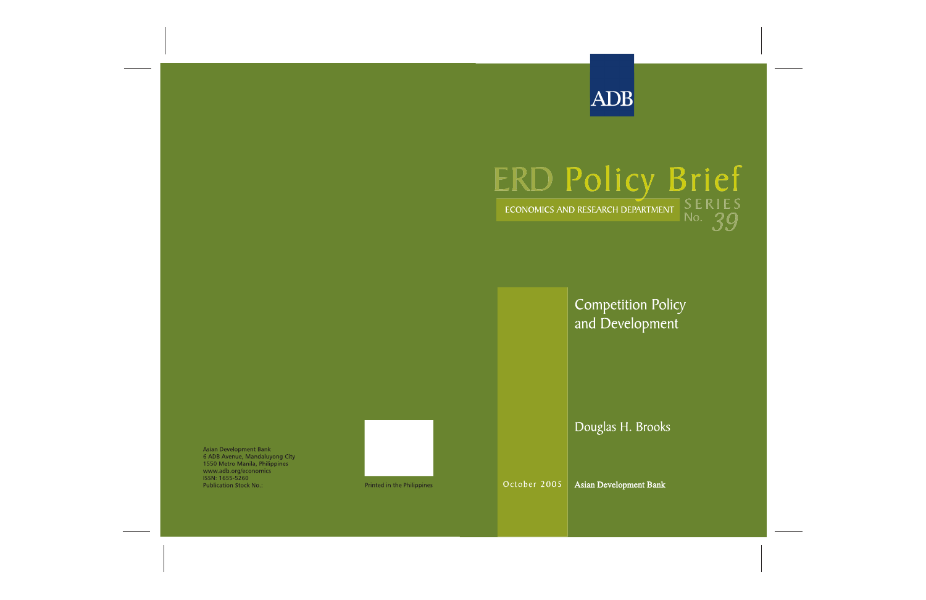

# ERD Policy Brief

**Competition Policy** and Development

Douglas H. Brooks

**Asian Development Bank** 6 ADB Avenue, Mandaluyong City 1550 Metro Manila, Philippines www.adb.org/economics ISSN: 1655-5260 **Publication Stock No.:** 



October 2005

**Asian Development Bank**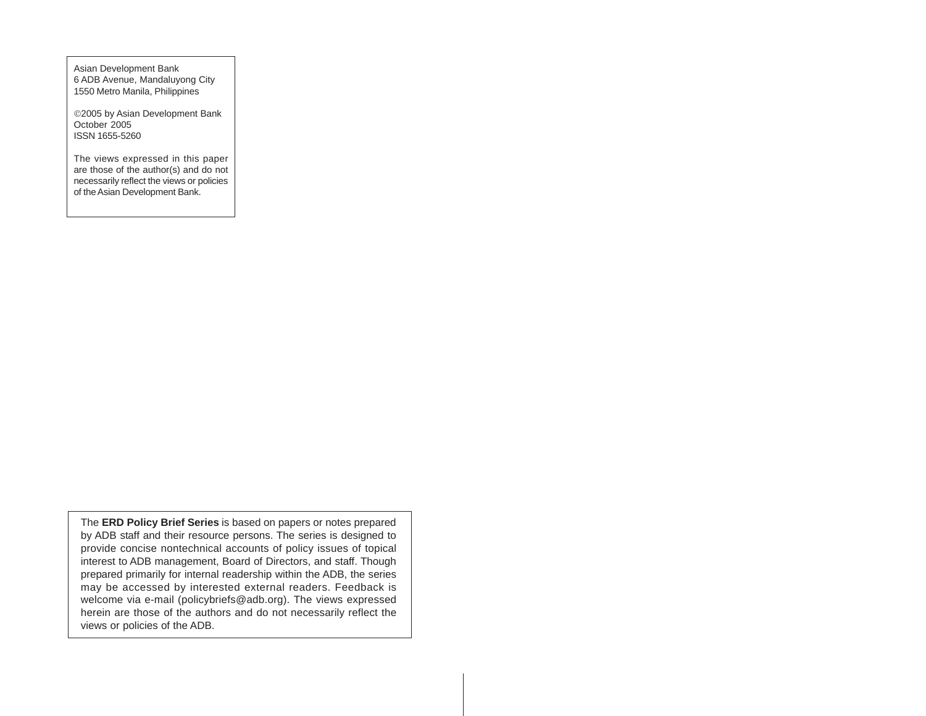Asian Development Bank 6 ADB Avenue, Mandaluyong City 1550 Metro Manila, Philippines

©2005 by Asian Development Bank October 2005 ISSN 1655-5260

The views expressed in this paper are those of the author(s) and do not necessarily reflect the views or policies of the Asian Development Bank.

The **ERD Policy Brief Series** is based on papers or notes prepared by ADB staff and their resource persons. The series is designed to provide concise nontechnical accounts of policy issues of topical interest to ADB management, Board of Directors, and staff. Though prepared primarily for internal readership within the ADB, the series may be accessed by interested external readers. Feedback is welcome via e-mail (policybriefs@adb.org). The views expressed herein are those of the authors and do not necessarily reflect the views or policies of the ADB.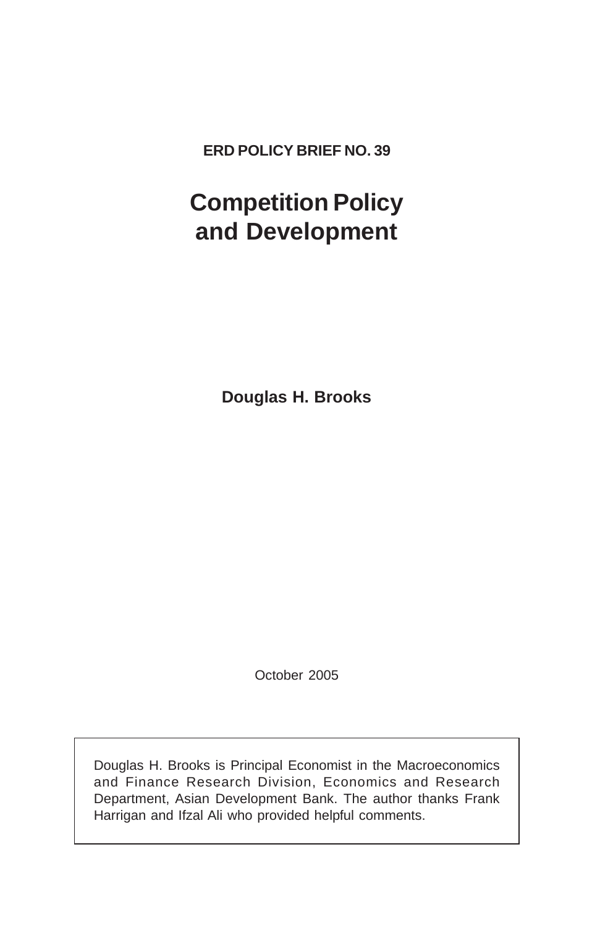**ERD POLICY BRIEF NO. 39**

# **Competition Policy and Development**

**Douglas H. Brooks**

October 2005

Douglas H. Brooks is Principal Economist in the Macroeconomics and Finance Research Division, Economics and Research Department, Asian Development Bank. The author thanks Frank Harrigan and Ifzal Ali who provided helpful comments.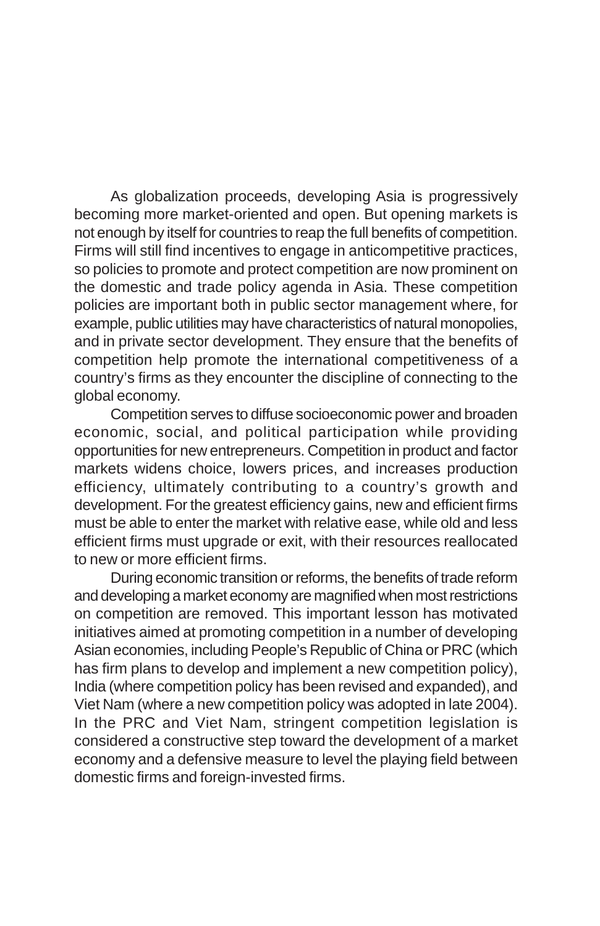As globalization proceeds, developing Asia is progressively becoming more market-oriented and open. But opening markets is not enough by itself for countries to reap the full benefits of competition. Firms will still find incentives to engage in anticompetitive practices, so policies to promote and protect competition are now prominent on the domestic and trade policy agenda in Asia. These competition policies are important both in public sector management where, for example, public utilities may have characteristics of natural monopolies, and in private sector development. They ensure that the benefits of competition help promote the international competitiveness of a country's firms as they encounter the discipline of connecting to the global economy.

Competition serves to diffuse socioeconomic power and broaden economic, social, and political participation while providing opportunities for new entrepreneurs. Competition in product and factor markets widens choice, lowers prices, and increases production efficiency, ultimately contributing to a country's growth and development. For the greatest efficiency gains, new and efficient firms must be able to enter the market with relative ease, while old and less efficient firms must upgrade or exit, with their resources reallocated to new or more efficient firms.

During economic transition or reforms, the benefits of trade reform and developing a market economy are magnified when most restrictions on competition are removed. This important lesson has motivated initiatives aimed at promoting competition in a number of developing Asian economies, including People's Republic of China or PRC (which has firm plans to develop and implement a new competition policy), India (where competition policy has been revised and expanded), and Viet Nam (where a new competition policy was adopted in late 2004). In the PRC and Viet Nam, stringent competition legislation is considered a constructive step toward the development of a market economy and a defensive measure to level the playing field between domestic firms and foreign-invested firms.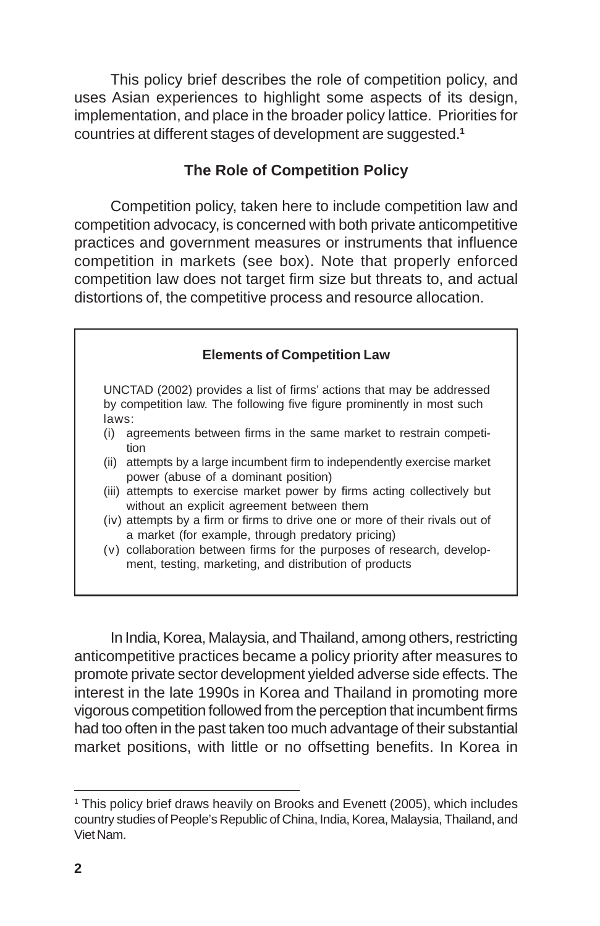This policy brief describes the role of competition policy, and uses Asian experiences to highlight some aspects of its design, implementation, and place in the broader policy lattice. Priorities for countries at different stages of development are suggested.**<sup>1</sup>**

### **The Role of Competition Policy**

Competition policy, taken here to include competition law and competition advocacy, is concerned with both private anticompetitive practices and government measures or instruments that influence competition in markets (see box). Note that properly enforced competition law does not target firm size but threats to, and actual distortions of, the competitive process and resource allocation.

| <b>Elements of Competition Law</b> |                                                                                                                                                 |
|------------------------------------|-------------------------------------------------------------------------------------------------------------------------------------------------|
| laws:                              | UNCTAD (2002) provides a list of firms' actions that may be addressed<br>by competition law. The following five figure prominently in most such |
| (i)                                | agreements between firms in the same market to restrain competi-<br>tion                                                                        |
|                                    | (ii) attempts by a large incumbent firm to independently exercise market<br>power (abuse of a dominant position)                                |
|                                    | (iii) attempts to exercise market power by firms acting collectively but<br>without an explicit agreement between them                          |
|                                    | (iv) attempts by a firm or firms to drive one or more of their rivals out of<br>a market (for example, through predatory pricing)               |
|                                    | (v) collaboration between firms for the purposes of research, develop-<br>ment, testing, marketing, and distribution of products                |

In India, Korea, Malaysia, and Thailand, among others, restricting anticompetitive practices became a policy priority after measures to promote private sector development yielded adverse side effects. The interest in the late 1990s in Korea and Thailand in promoting more vigorous competition followed from the perception that incumbent firms had too often in the past taken too much advantage of their substantial market positions, with little or no offsetting benefits. In Korea in

<sup>&</sup>lt;sup>1</sup> This policy brief draws heavily on Brooks and Evenett (2005), which includes country studies of People's Republic of China, India, Korea, Malaysia, Thailand, and Viet Nam.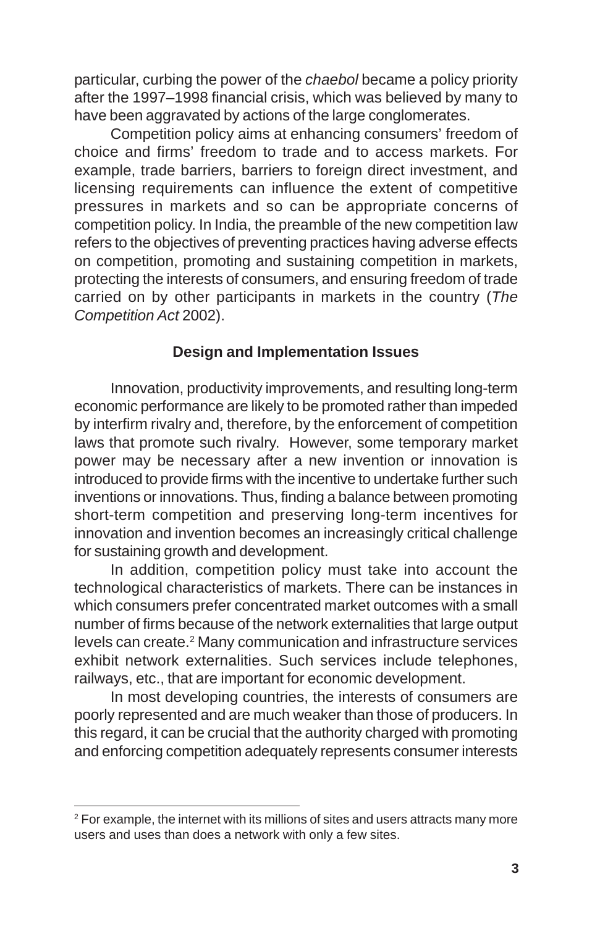particular, curbing the power of the *chaebol* became a policy priority after the 1997–1998 financial crisis, which was believed by many to have been aggravated by actions of the large conglomerates.

Competition policy aims at enhancing consumers' freedom of choice and firms' freedom to trade and to access markets. For example, trade barriers, barriers to foreign direct investment, and licensing requirements can influence the extent of competitive pressures in markets and so can be appropriate concerns of competition policy. In India, the preamble of the new competition law refers to the objectives of preventing practices having adverse effects on competition, promoting and sustaining competition in markets, protecting the interests of consumers, and ensuring freedom of trade carried on by other participants in markets in the country (*The Competition Act* 2002).

## **Design and Implementation Issues**

Innovation, productivity improvements, and resulting long-term economic performance are likely to be promoted rather than impeded by interfirm rivalry and, therefore, by the enforcement of competition laws that promote such rivalry. However, some temporary market power may be necessary after a new invention or innovation is introduced to provide firms with the incentive to undertake further such inventions or innovations. Thus, finding a balance between promoting short-term competition and preserving long-term incentives for innovation and invention becomes an increasingly critical challenge for sustaining growth and development.

In addition, competition policy must take into account the technological characteristics of markets. There can be instances in which consumers prefer concentrated market outcomes with a small number of firms because of the network externalities that large output levels can create.<sup>2</sup> Many communication and infrastructure services exhibit network externalities. Such services include telephones, railways, etc., that are important for economic development.

In most developing countries, the interests of consumers are poorly represented and are much weaker than those of producers. In this regard, it can be crucial that the authority charged with promoting and enforcing competition adequately represents consumer interests

 $2$  For example, the internet with its millions of sites and users attracts many more users and uses than does a network with only a few sites.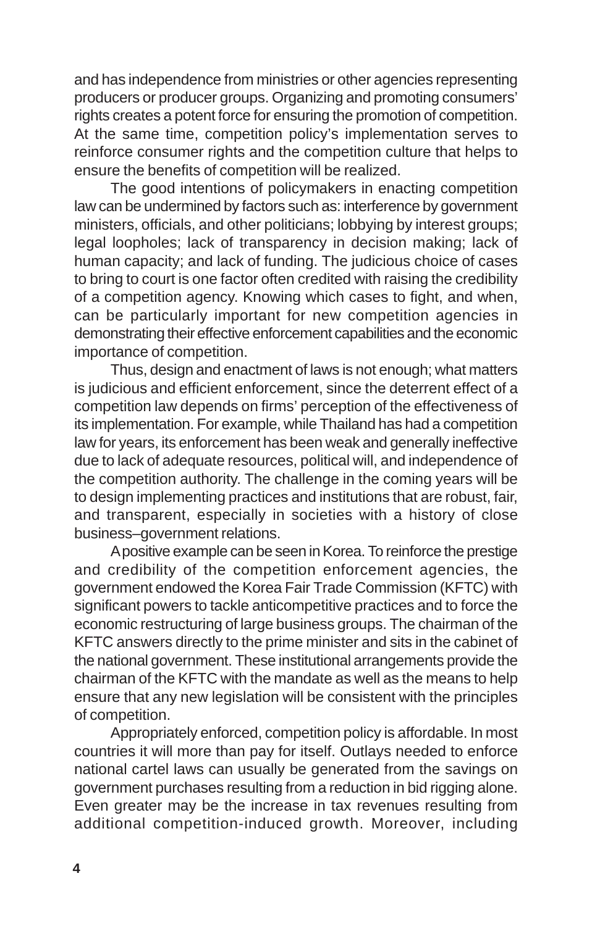and has independence from ministries or other agencies representing producers or producer groups. Organizing and promoting consumers' rights creates a potent force for ensuring the promotion of competition. At the same time, competition policy's implementation serves to reinforce consumer rights and the competition culture that helps to ensure the benefits of competition will be realized.

The good intentions of policymakers in enacting competition law can be undermined by factors such as: interference by government ministers, officials, and other politicians; lobbying by interest groups; legal loopholes; lack of transparency in decision making; lack of human capacity; and lack of funding. The judicious choice of cases to bring to court is one factor often credited with raising the credibility of a competition agency. Knowing which cases to fight, and when, can be particularly important for new competition agencies in demonstrating their effective enforcement capabilities and the economic importance of competition.

Thus, design and enactment of laws is not enough; what matters is judicious and efficient enforcement, since the deterrent effect of a competition law depends on firms' perception of the effectiveness of its implementation. For example, while Thailand has had a competition law for years, its enforcement has been weak and generally ineffective due to lack of adequate resources, political will, and independence of the competition authority. The challenge in the coming years will be to design implementing practices and institutions that are robust, fair, and transparent, especially in societies with a history of close business–government relations.

A positive example can be seen in Korea. To reinforce the prestige and credibility of the competition enforcement agencies, the government endowed the Korea Fair Trade Commission (KFTC) with significant powers to tackle anticompetitive practices and to force the economic restructuring of large business groups. The chairman of the KFTC answers directly to the prime minister and sits in the cabinet of the national government. These institutional arrangements provide the chairman of the KFTC with the mandate as well as the means to help ensure that any new legislation will be consistent with the principles of competition.

Appropriately enforced, competition policy is affordable. In most countries it will more than pay for itself. Outlays needed to enforce national cartel laws can usually be generated from the savings on government purchases resulting from a reduction in bid rigging alone. Even greater may be the increase in tax revenues resulting from additional competition-induced growth. Moreover, including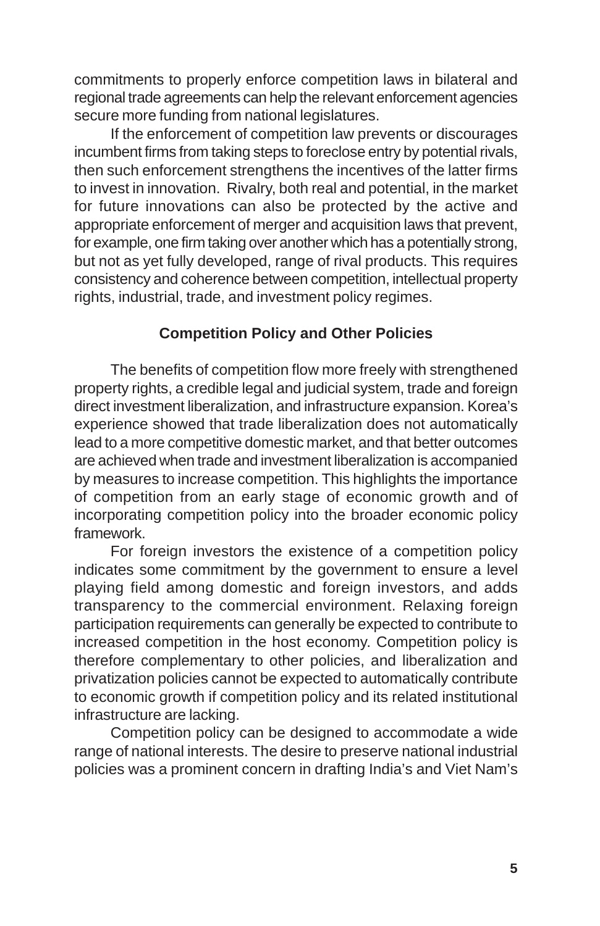commitments to properly enforce competition laws in bilateral and regional trade agreements can help the relevant enforcement agencies secure more funding from national legislatures.

If the enforcement of competition law prevents or discourages incumbent firms from taking steps to foreclose entry by potential rivals, then such enforcement strengthens the incentives of the latter firms to invest in innovation. Rivalry, both real and potential, in the market for future innovations can also be protected by the active and appropriate enforcement of merger and acquisition laws that prevent, for example, one firm taking over another which has a potentially strong, but not as yet fully developed, range of rival products. This requires consistency and coherence between competition, intellectual property rights, industrial, trade, and investment policy regimes.

### **Competition Policy and Other Policies**

The benefits of competition flow more freely with strengthened property rights, a credible legal and judicial system, trade and foreign direct investment liberalization, and infrastructure expansion. Korea's experience showed that trade liberalization does not automatically lead to a more competitive domestic market, and that better outcomes are achieved when trade and investment liberalization is accompanied by measures to increase competition. This highlights the importance of competition from an early stage of economic growth and of incorporating competition policy into the broader economic policy framework.

For foreign investors the existence of a competition policy indicates some commitment by the government to ensure a level playing field among domestic and foreign investors, and adds transparency to the commercial environment. Relaxing foreign participation requirements can generally be expected to contribute to increased competition in the host economy. Competition policy is therefore complementary to other policies, and liberalization and privatization policies cannot be expected to automatically contribute to economic growth if competition policy and its related institutional infrastructure are lacking.

Competition policy can be designed to accommodate a wide range of national interests. The desire to preserve national industrial policies was a prominent concern in drafting India's and Viet Nam's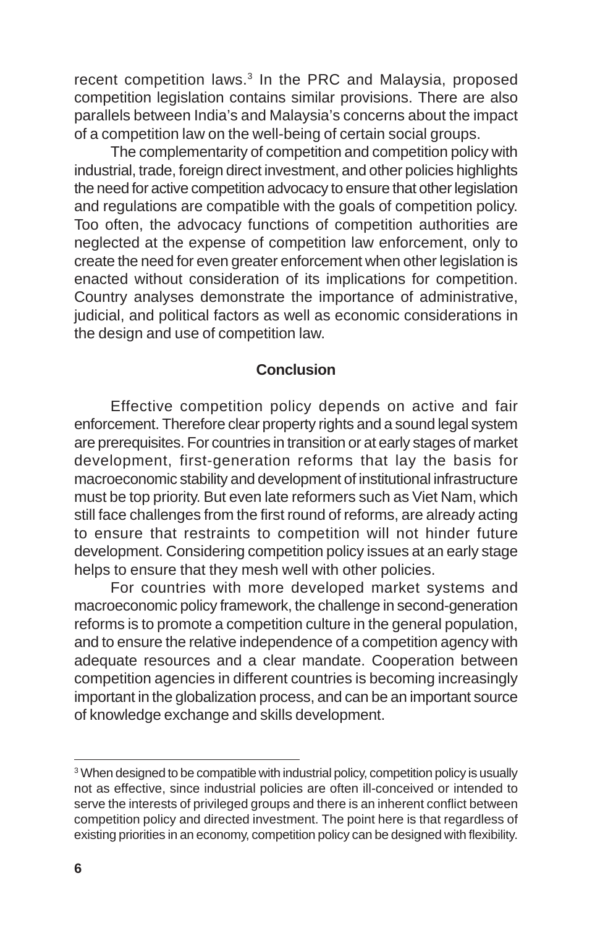recent competition laws.<sup>3</sup> In the PRC and Malaysia, proposed competition legislation contains similar provisions. There are also parallels between India's and Malaysia's concerns about the impact of a competition law on the well-being of certain social groups.

The complementarity of competition and competition policy with industrial, trade, foreign direct investment, and other policies highlights the need for active competition advocacy to ensure that other legislation and regulations are compatible with the goals of competition policy. Too often, the advocacy functions of competition authorities are neglected at the expense of competition law enforcement, only to create the need for even greater enforcement when other legislation is enacted without consideration of its implications for competition. Country analyses demonstrate the importance of administrative, judicial, and political factors as well as economic considerations in the design and use of competition law.

### **Conclusion**

Effective competition policy depends on active and fair enforcement. Therefore clear property rights and a sound legal system are prerequisites. For countries in transition or at early stages of market development, first-generation reforms that lay the basis for macroeconomic stability and development of institutional infrastructure must be top priority. But even late reformers such as Viet Nam, which still face challenges from the first round of reforms, are already acting to ensure that restraints to competition will not hinder future development. Considering competition policy issues at an early stage helps to ensure that they mesh well with other policies.

For countries with more developed market systems and macroeconomic policy framework, the challenge in second-generation reforms is to promote a competition culture in the general population, and to ensure the relative independence of a competition agency with adequate resources and a clear mandate. Cooperation between competition agencies in different countries is becoming increasingly important in the globalization process, and can be an important source of knowledge exchange and skills development.

<sup>&</sup>lt;sup>3</sup> When designed to be compatible with industrial policy, competition policy is usually not as effective, since industrial policies are often ill-conceived or intended to serve the interests of privileged groups and there is an inherent conflict between competition policy and directed investment. The point here is that regardless of existing priorities in an economy, competition policy can be designed with flexibility.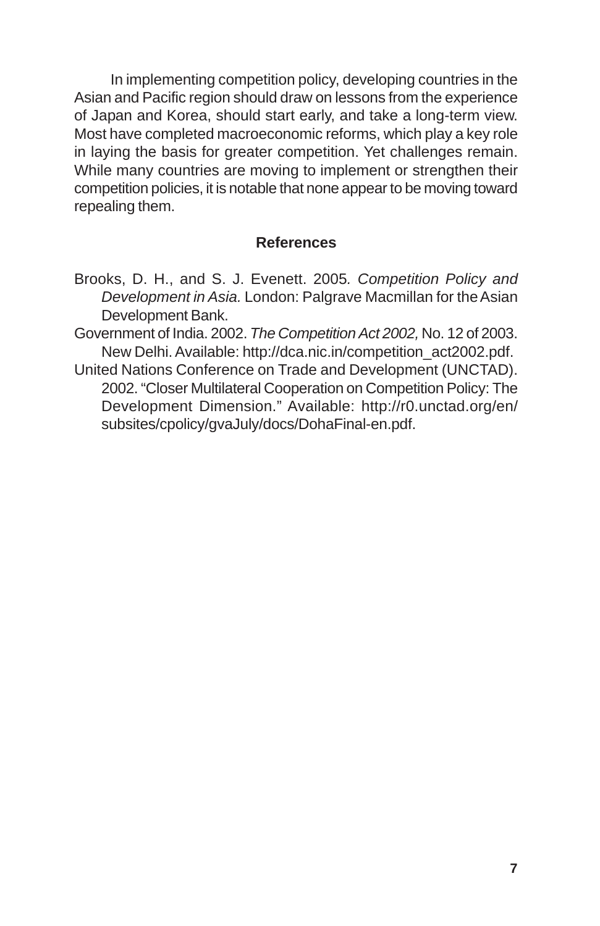In implementing competition policy, developing countries in the Asian and Pacific region should draw on lessons from the experience of Japan and Korea, should start early, and take a long-term view. Most have completed macroeconomic reforms, which play a key role in laying the basis for greater competition. Yet challenges remain. While many countries are moving to implement or strengthen their competition policies, it is notable that none appear to be moving toward repealing them.

### **References**

- Brooks, D. H., and S. J. Evenett. 2005*. Competition Policy and Development in Asia.* London: Palgrave Macmillan for the Asian Development Bank.
- Government of India. 2002. *The Competition Act 2002,* No. 12 of 2003. New Delhi. Available: http://dca.nic.in/competition\_act2002.pdf.
- United Nations Conference on Trade and Development (UNCTAD). 2002. "Closer Multilateral Cooperation on Competition Policy: The Development Dimension." Available: http://r0.unctad.org/en/ subsites/cpolicy/gvaJuly/docs/DohaFinal-en.pdf.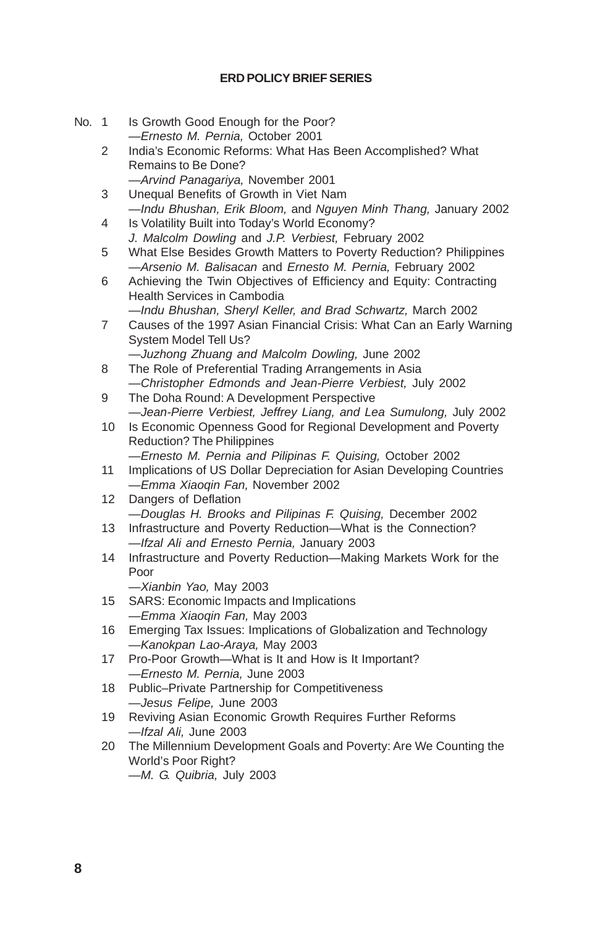### **ERD POLICY BRIEF SERIES**

- No. 1 Is Growth Good Enough for the Poor? *—Ernesto M. Pernia,* October 2001
	- 2 India's Economic Reforms: What Has Been Accomplished? What Remains to Be Done? *—Arvind Panagariya,* November 2001
	- 3 Unequal Benefits of Growth in Viet Nam *—Indu Bhushan, Erik Bloom,* and *Nguyen Minh Thang,* January 2002
	- 4 Is Volatility Built into Today's World Economy? *J. Malcolm Dowling* and *J.P. Verbiest,* February 2002
	- 5 What Else Besides Growth Matters to Poverty Reduction? Philippines *—Arsenio M. Balisacan* and *Ernesto M. Pernia,* February 2002
	- 6 Achieving the Twin Objectives of Efficiency and Equity: Contracting Health Services in Cambodia
	- *—Indu Bhushan, Sheryl Keller, and Brad Schwartz,* March 2002 7 Causes of the 1997 Asian Financial Crisis: What Can an Early Warning

System Model Tell Us? *—Juzhong Zhuang and Malcolm Dowling,* June 2002

- 8 The Role of Preferential Trading Arrangements in Asia *—Christopher Edmonds and Jean-Pierre Verbiest,* July 2002
- 9 The Doha Round: A Development Perspective *—Jean-Pierre Verbiest, Jeffrey Liang, and Lea Sumulong,* July 2002
- 10 Is Economic Openness Good for Regional Development and Poverty Reduction? The Philippines
	- *—Ernesto M. Pernia and Pilipinas F. Quising,* October 2002
- 11 Implications of US Dollar Depreciation for Asian Developing Countries *—Emma Xiaoqin Fan,* November 2002
- 12 Dangers of Deflation *—Douglas H. Brooks and Pilipinas F. Quising,* December 2002
- 13 Infrastructure and Poverty Reduction—What is the Connection? *—Ifzal Ali and Ernesto Pernia,* January 2003
- 14 Infrastructure and Poverty Reduction—Making Markets Work for the Poor
	- *—Xianbin Yao,* May 2003
- 15 SARS: Economic Impacts and Implications *—Emma Xiaoqin Fan,* May 2003
- 16 Emerging Tax Issues: Implications of Globalization and Technology *—Kanokpan Lao-Araya,* May 2003
- 17 Pro-Poor Growth—What is It and How is It Important? *—Ernesto M. Pernia,* June 2003
- 18 Public–Private Partnership for Competitiveness *—Jesus Felipe,* June 2003
- 19 Reviving Asian Economic Growth Requires Further Reforms *—Ifzal Ali,* June 2003
- 20 The Millennium Development Goals and Poverty: Are We Counting the World's Poor Right? *—M. G. Quibria,* July 2003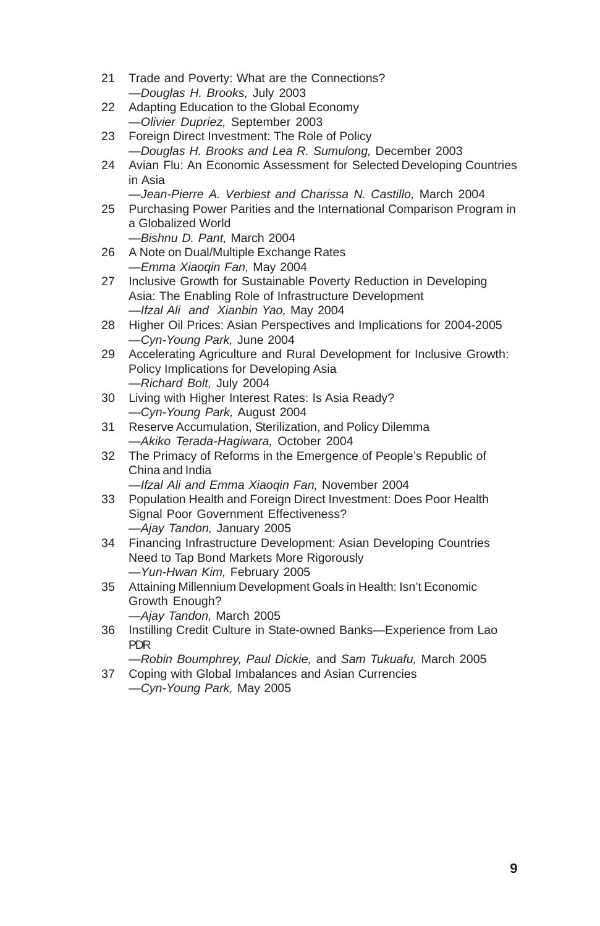- 21 Trade and Poverty: What are the Connections? *—Douglas H. Brooks,* July 2003
- 22 Adapting Education to the Global Economy *—Olivier Dupriez,* September 2003
- 23 Foreign Direct Investment: The Role of Policy *—Douglas H. Brooks and Lea R. Sumulong,* December 2003
- 24 Avian Flu: An Economic Assessment for Selected Developing Countries in Asia
	- *—Jean-Pierre A. Verbiest and Charissa N. Castillo,* March 2004
- 25 Purchasing Power Parities and the International Comparison Program in a Globalized World *—Bishnu D. Pant,* March 2004
- 26 A Note on Dual/Multiple Exchange Rates
	- *—Emma Xiaoqin Fan,* May 2004
- 27 Inclusive Growth for Sustainable Poverty Reduction in Developing Asia: The Enabling Role of Infrastructure Development *—Ifzal Ali and Xianbin Yao,* May 2004
- 28 Higher Oil Prices: Asian Perspectives and Implications for 2004-2005 *—Cyn-Young Park,* June 2004
- 29 Accelerating Agriculture and Rural Development for Inclusive Growth: Policy Implications for Developing Asia *—Richard Bolt,* July 2004
- 30 Living with Higher Interest Rates: Is Asia Ready? *—Cyn-Young Park,* August 2004
- 31 Reserve Accumulation, Sterilization, and Policy Dilemma *—Akiko Terada-Hagiwara,* October 2004
- 32 The Primacy of Reforms in the Emergence of People's Republic of China and India

*—Ifzal Ali and Emma Xiaoqin Fan,* November 2004

- 33 Population Health and Foreign Direct Investment: Does Poor Health Signal Poor Government Effectiveness? *—Ajay Tandon,* January 2005
- 34 Financing Infrastructure Development: Asian Developing Countries Need to Tap Bond Markets More Rigorously *—Yun-Hwan Kim,* February 2005
- 35 Attaining Millennium Development Goals in Health: Isn't Economic Growth Enough?

*—Ajay Tandon,* March 2005

36 Instilling Credit Culture in State-owned Banks—Experience from Lao PDR

*—Robin Boumphrey, Paul Dickie,* and *Sam Tukuafu,* March 2005 37 Coping with Global Imbalances and Asian Currencies

*—Cyn-Young Park,* May 2005